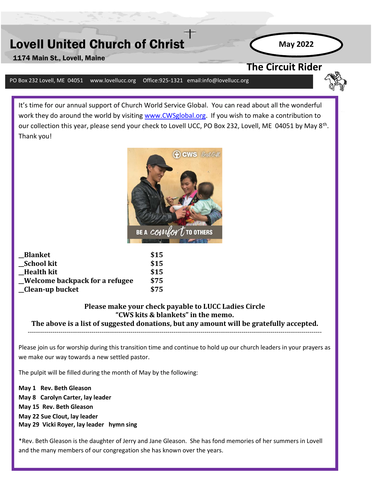# Lovell United Church of Christ

1174 Main St., Lovell, Maine

**The Circuit Rider** 

**May 2022**

**April 2018**

#### PO Box 232 Lovell, ME 04051 www.lovellucc.org Office:925-1321 email:info@lovellucc.org

It's time for our annual support of Church World Service Global. You can read about all the wonderful work they do around the world by visiting [www.CWSglobal.org.](http://www.cwsglobal.org/) If you wish to make a contribution to our collection this year, please send your check to Lovell UCC, PO Box 232, Lovell, ME 04051 by May 8<sup>th</sup>. Thank you!



| <b>Blanket</b>                  | \$15 |
|---------------------------------|------|
| _School kit                     | \$15 |
| <b>Health kit</b>               | \$15 |
| _Welcome backpack for a refugee | \$75 |
| _Clean-up bucket                | \$75 |

### **Please make your check payable to LUCC Ladies Circle "CWS kits & blankets" in the memo.**

**The above is a list of suggested donations, but any amount will be gratefully accepted.**  -----------------------------------------------------------------------------------------------------------------------------------------------

Please join us for worship during this transition time and continue to hold up our church leaders in your prayers as we make our way towards a new settled pastor.

The pulpit will be filled during the month of May by the following:

**May 1 Rev. Beth Gleason May 8 Carolyn Carter, lay leader May 15 Rev. Beth Gleason May 22 Sue Clout, lay leader May 29 Vicki Royer, lay leader hymn sing**

\*Rev. Beth Gleason is the daughter of Jerry and Jane Gleason. She has fond memories of her summers in Lovell and the many members of our congregation she has known over the years.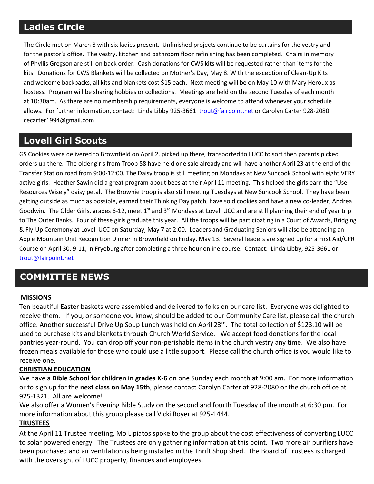## **Ladies Circle**

The Circle met on March 8 with six ladies present. Unfinished projects continue to be curtains for the vestry and for the pastor's office. The vestry, kitchen and bathroom floor refinishing has been completed. Chairs in memory of Phyllis Gregson are still on back order. Cash donations for CWS kits will be requested rather than items for the kits. Donations for CWS Blankets will be collected on Mother's Day, May 8. With the exception of Clean-Up Kits and welcome backpacks, all kits and blankets cost \$15 each. Next meeting will be on May 10 with Mary Heroux as hostess. Program will be sharing hobbies or collections. Meetings are held on the second Tuesday of each month at 10:30am. As there are no membership requirements, everyone is welcome to attend whenever your schedule allows. For further information, contact: Linda Libby 925-3661 [trout@fairpoint.net](mailto:trout@fairpoint.net) or Carolyn Carter 928-2080 cecarter1994@gmail.com

## **Lovell Girl Scouts**

GS Cookies were delivered to Brownfield on April 2, picked up there, transported to LUCC to sort then parents picked orders up there. The older girls from Troop 58 have held one sale already and will have another April 23 at the end of the Transfer Station road from 9:00-12:00. The Daisy troop is still meeting on Mondays at New Suncook School with eight VERY active girls. Heather Sawin did a great program about bees at their April 11 meeting. This helped the girls earn the "Use Resources Wisely" daisy petal. The Brownie troop is also still meeting Tuesdays at New Suncook School. They have been getting outside as much as possible, earned their Thinking Day patch, have sold cookies and have a new co-leader, Andrea Goodwin. The Older Girls, grades 6-12, meet 1<sup>st</sup> and 3<sup>rd</sup> Mondays at Lovell UCC and are still planning their end of year trip to The Outer Banks. Four of these girls graduate this year. All the troops will be participating in a Court of Awards, Bridging & Fly-Up Ceremony at Lovell UCC on Saturday, May 7 at 2:00. Leaders and Graduating Seniors will also be attending an Apple Mountain Unit Recognition Dinner in Brownfield on Friday, May 13. Several leaders are signed up for a First Aid/CPR Course on April 30, 9-11, in Fryeburg after completing a three hour online course. Contact: Linda Libby, 925-3661 or [trout@fairpoint.net](mailto:trout@fairpoint.net)

## **COMMITTEE NEWS**

#### **MISSIONS**

Ten beautiful Easter baskets were assembled and delivered to folks on our care list. Everyone was delighted to receive them. If you, or someone you know, should be added to our Community Care list, please call the church office. Another successful Drive Up Soup Lunch was held on April 23rd. The total collection of \$123.10 will be used to purchase kits and blankets through Church World Service. We accept food donations for the local pantries year-round. You can drop off your non-perishable items in the church vestry any time. We also have frozen meals available for those who could use a little support. Please call the church office is you would like to receive one.

#### **CHRISTIAN EDUCATION**

We have a **Bible School for children in grades K-6** on one Sunday each month at 9:00 am. For more information or to sign up for the **next class on May 15th**, please contact Carolyn Carter at 928-2080 or the church office at 925-1321. All are welcome!

We also offer a Women's Evening Bible Study on the second and fourth Tuesday of the month at 6:30 pm. For more information about this group please call Vicki Royer at 925-1444.

#### **TRUSTEES**

At the April 11 Trustee meeting, Mo Lipiatos spoke to the group about the cost effectiveness of converting LUCC to solar powered energy. The Trustees are only gathering information at this point. Two more air purifiers have been purchased and air ventilation is being installed in the Thrift Shop shed. The Board of Trustees is charged with the oversight of LUCC property, finances and employees.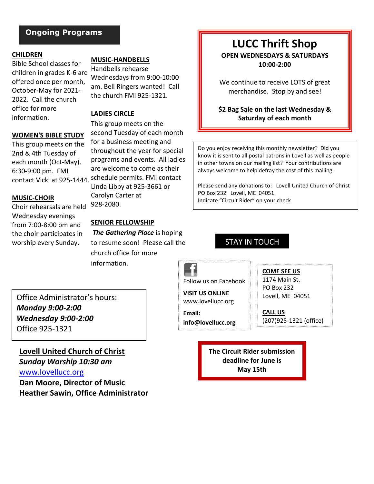### **Ongoing Programs**

#### **CHILDREN**

Bible School classes for children in grades K-6 are offered once per month, October-May for 2021- 2022. Call the church office for more information.

#### **WOMEN'S BIBLE STUDY**

This group meets on the 2nd & 4th Tuesday of each month (Oct-May). 6:30-9:00 pm. FMI

#### **MUSIC-CHOIR**

Choir rehearsals are held Wednesday evenings from 7:00-8:00 pm and the choir participates in worship every Sunday.

**MUSIC-HANDBELLS**

Handbells rehearse Wednesdays from 9:00-10:00 am. Bell Ringers wanted! Call the church FMI 925-1321.

#### **LADIES CIRCLE**

This group meets on the second Tuesday of each month for a business meeting and throughout the year for special programs and events. All ladies are welcome to come as their contact Vicki at 925-1444. schedule permits. FMI contact Linda Libby at 925-3661 or Carolyn Carter at 928-2080.

#### **SENIOR FELLOWSHIP**

*The Gathering Place* is hoping to resume soon! Please call the church office for more information.

## **LUCC Thrift Shop**

**OPEN WEDNESDAYS & SATURDAYS 10:00-2:00**

We continue to receive LOTS of great merchandise.Stop by and see!

**\$2 Bag Sale on the last Wednesday & Saturday of each month**

Do you enjoy receiving this monthly newsletter? Did you know it is sent to all postal patrons in Lovell as well as people in other towns on our mailing list? Your contributions are always welcome to help defray the cost of this mailing.

Please send any donations to: Lovell United Church of Christ PO Box 232 Lovell, ME 04051 Indicate "Circuit Rider" on your check

### STAY IN TOUCH

Follow us on Facebook

www.lovellucc.org

**Email:**

**COME SEE US** 1174 Main St. PO Box 232 Lovell, ME 04051

**CALL US** (207)925-1321 (office)

**The Circuit Rider submission deadline for June is May 15th**

Office Administrator's hours: *Monday 9:00-2:00 Wednesday 9:00-2:00* Office 925-1321

**Lovell United Church of Christ**

*Sunday Worship 10:30 am* [www.lovellucc.org](http://www.lovellucc.org/) **Dan Moore, Director of Music Heather Sawin, Office Administrator** **VISIT US ONLINE**

**info@lovellucc.org**